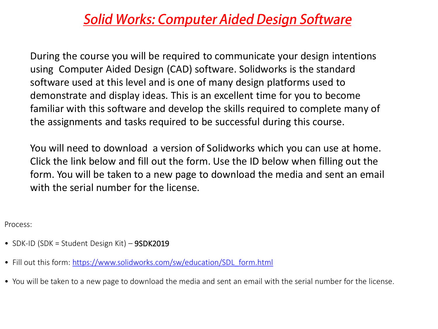### **Solid Works: Computer Aided Design Software**

During the course you will be required to communicate your design intentions using Computer Aided Design (CAD) software. Solidworks is the standard software used at this level and is one of many design platforms used to demonstrate and display ideas. This is an excellent time for you to become familiar with this software and develop the skills required to complete many of the assignments and tasks required to be successful during this course.

You will need to download a version of Solidworks which you can use at home. Click the link below and fill out the form. Use the ID below when filling out the form. You will be taken to a new page to download the media and sent an email with the serial number for the license.

Process:

- SDK-ID (SDK = Student Design Kit) 9SDK2019
- Fill out this form: [https://www.solidworks.com/sw/education/SDL\\_form.html](https://www.solidworks.com/sw/education/SDL_form.html)
- You will be taken to a new page to download the media and sent an email with the serial number for the license.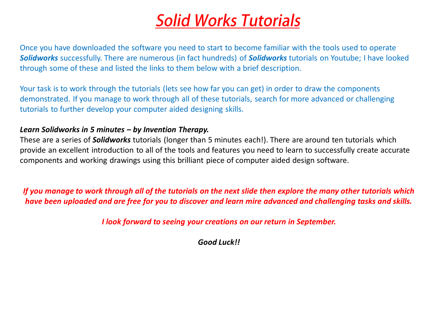## **Solid Works Tutorials**

Once you have downloaded the software you need to start to become familiar with the tools used to operate *Solidworks* successfully. There are numerous (in fact hundreds) of *Solidworks* tutorials on Youtube; I have looked through some of these and listed the links to them below with a brief description.

Your task is to work through the tutorials (lets see how far you can get) in order to draw the components demonstrated. If you manage to work through all of these tutorials, search for more advanced or challenging tutorials to further develop your computer aided designing skills.

#### *Learn Solidworks in 5 minutes – by Invention Therapy.*

These are a series of *Solidworks* tutorials (longer than 5 minutes each!). There are around ten tutorials which provide an excellent introduction to all of the tools and features you need to learn to successfully create accurate components and working drawings using this brilliant piece of computer aided design software.

*If you manage to work through all of the tutorials on the next slide then explore the many other tutorials which have been uploaded and are free for you to discover and learn mire advanced and challenging tasks and skills.*

*I look forward to seeing your creations on our return in September.*

*Good Luck!!*